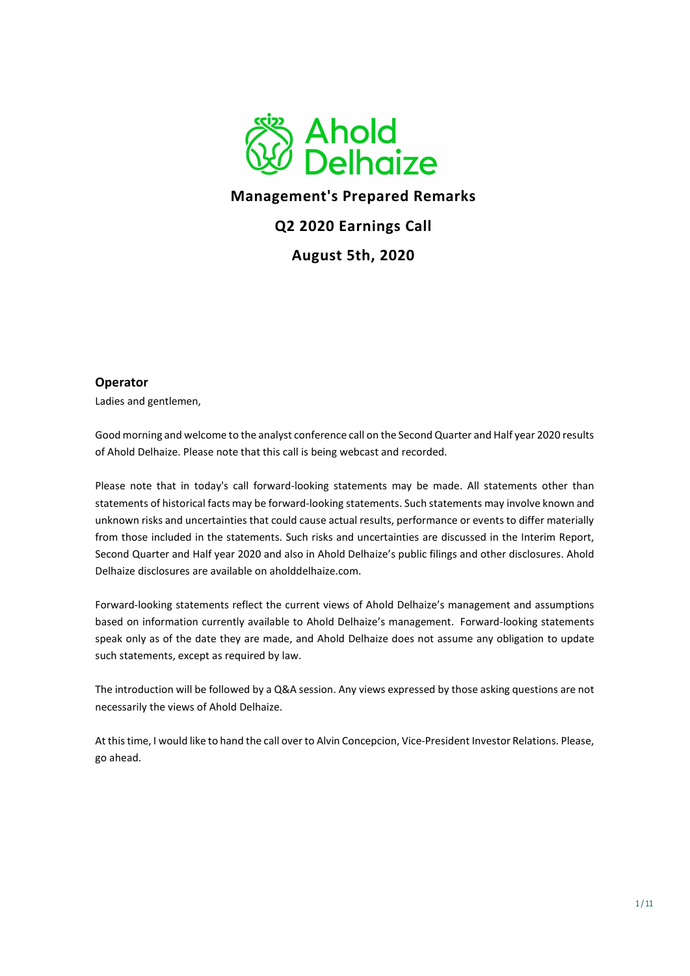

## Management's Prepared Remarks

## Q2 2020 Earnings Call

August 5th, 2020

#### **Operator**

Ladies and gentlemen,

Good morning and welcome to the analyst conference call on the Second Quarter and Half year 2020 results of Ahold Delhaize. Please note that this call is being webcast and recorded.

Please note that in today's call forward-looking statements may be made. All statements other than statements of historical facts may be forward-looking statements. Such statements may involve known and unknown risks and uncertainties that could cause actual results, performance or events to differ materially from those included in the statements. Such risks and uncertainties are discussed in the Interim Report, Second Quarter and Half year 2020 and also in Ahold Delhaize's public filings and other disclosures. Ahold Delhaize disclosures are available on aholddelhaize.com.

Forward-looking statements reflect the current views of Ahold Delhaize's management and assumptions based on information currently available to Ahold Delhaize's management. Forward-looking statements speak only as of the date they are made, and Ahold Delhaize does not assume any obligation to update such statements, except as required by law.

The introduction will be followed by a Q&A session. Any views expressed by those asking questions are not necessarily the views of Ahold Delhaize.

At this time, I would like to hand the call over to Alvin Concepcion, Vice-President Investor Relations. Please, go ahead.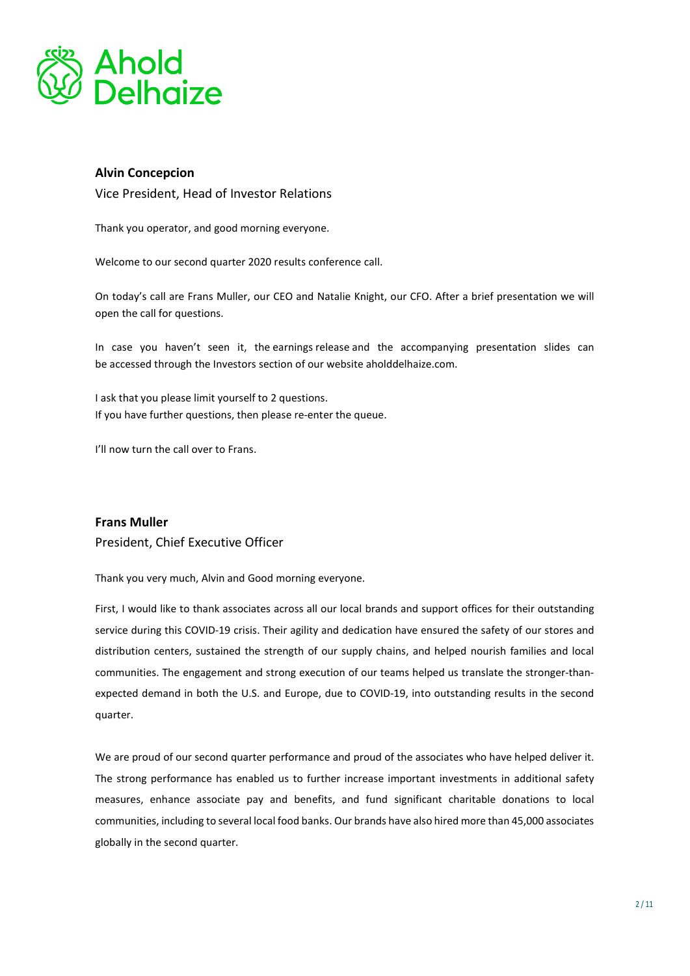

### Alvin Concepcion

Vice President, Head of Investor Relations

Thank you operator, and good morning everyone.

Welcome to our second quarter 2020 results conference call.

On today's call are Frans Muller, our CEO and Natalie Knight, our CFO. After a brief presentation we will open the call for questions.

In case you haven't seen it, the earnings release and the accompanying presentation slides can be accessed through the Investors section of our website aholddelhaize.com.

I ask that you please limit yourself to 2 questions. If you have further questions, then please re-enter the queue.

I'll now turn the call over to Frans.

#### Frans Muller

President, Chief Executive Officer

Thank you very much, Alvin and Good morning everyone.

First, I would like to thank associates across all our local brands and support offices for their outstanding service during this COVID-19 crisis. Their agility and dedication have ensured the safety of our stores and distribution centers, sustained the strength of our supply chains, and helped nourish families and local communities. The engagement and strong execution of our teams helped us translate the stronger-thanexpected demand in both the U.S. and Europe, due to COVID-19, into outstanding results in the second quarter.

We are proud of our second quarter performance and proud of the associates who have helped deliver it. The strong performance has enabled us to further increase important investments in additional safety measures, enhance associate pay and benefits, and fund significant charitable donations to local communities, including to several local food banks. Our brands have also hired more than 45,000 associates globally in the second quarter.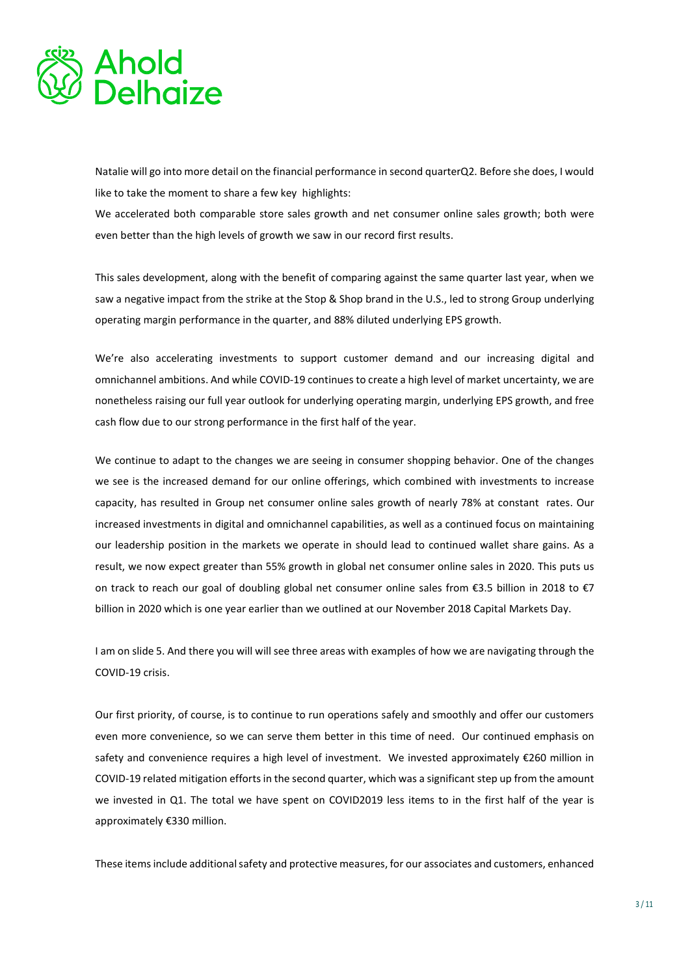

Natalie will go into more detail on the financial performance in second quarterQ2. Before she does, I would like to take the moment to share a few key highlights:

We accelerated both comparable store sales growth and net consumer online sales growth; both were even better than the high levels of growth we saw in our record first results.

This sales development, along with the benefit of comparing against the same quarter last year, when we saw a negative impact from the strike at the Stop & Shop brand in the U.S., led to strong Group underlying operating margin performance in the quarter, and 88% diluted underlying EPS growth.

We're also accelerating investments to support customer demand and our increasing digital and omnichannel ambitions. And while COVID-19 continues to create a high level of market uncertainty, we are nonetheless raising our full year outlook for underlying operating margin, underlying EPS growth, and free cash flow due to our strong performance in the first half of the year.

We continue to adapt to the changes we are seeing in consumer shopping behavior. One of the changes we see is the increased demand for our online offerings, which combined with investments to increase capacity, has resulted in Group net consumer online sales growth of nearly 78% at constant rates. Our increased investments in digital and omnichannel capabilities, as well as a continued focus on maintaining our leadership position in the markets we operate in should lead to continued wallet share gains. As a result, we now expect greater than 55% growth in global net consumer online sales in 2020. This puts us on track to reach our goal of doubling global net consumer online sales from €3.5 billion in 2018 to €7 billion in 2020 which is one year earlier than we outlined at our November 2018 Capital Markets Day.

I am on slide 5. And there you will will see three areas with examples of how we are navigating through the COVID-19 crisis.

Our first priority, of course, is to continue to run operations safely and smoothly and offer our customers even more convenience, so we can serve them better in this time of need. Our continued emphasis on safety and convenience requires a high level of investment. We invested approximately €260 million in COVID-19 related mitigation efforts in the second quarter, which was a significant step up from the amount we invested in Q1. The total we have spent on COVID2019 less items to in the first half of the year is approximately €330 million.

These items include additional safety and protective measures, for our associates and customers, enhanced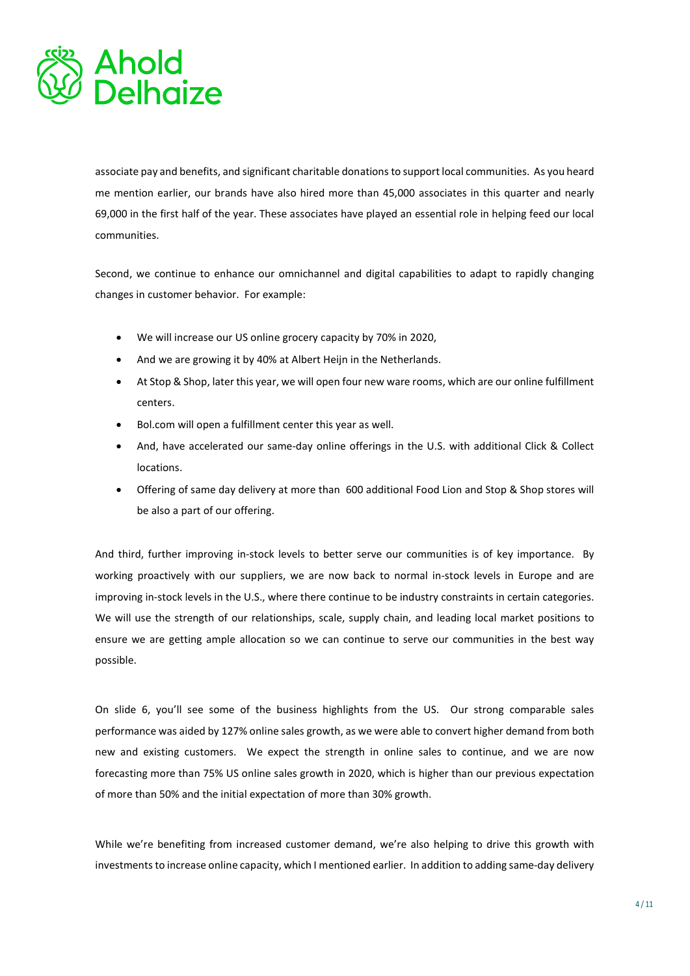

associate pay and benefits, and significant charitable donations to support local communities. As you heard me mention earlier, our brands have also hired more than 45,000 associates in this quarter and nearly 69,000 in the first half of the year. These associates have played an essential role in helping feed our local communities.

Second, we continue to enhance our omnichannel and digital capabilities to adapt to rapidly changing changes in customer behavior. For example:

- We will increase our US online grocery capacity by 70% in 2020,
- And we are growing it by 40% at Albert Heijn in the Netherlands.
- At Stop & Shop, later this year, we will open four new ware rooms, which are our online fulfillment centers.
- Bol.com will open a fulfillment center this year as well.
- And, have accelerated our same-day online offerings in the U.S. with additional Click & Collect locations.
- Offering of same day delivery at more than 600 additional Food Lion and Stop & Shop stores will be also a part of our offering.

And third, further improving in-stock levels to better serve our communities is of key importance. By working proactively with our suppliers, we are now back to normal in-stock levels in Europe and are improving in-stock levels in the U.S., where there continue to be industry constraints in certain categories. We will use the strength of our relationships, scale, supply chain, and leading local market positions to ensure we are getting ample allocation so we can continue to serve our communities in the best way possible.

On slide 6, you'll see some of the business highlights from the US. Our strong comparable sales performance was aided by 127% online sales growth, as we were able to convert higher demand from both new and existing customers. We expect the strength in online sales to continue, and we are now forecasting more than 75% US online sales growth in 2020, which is higher than our previous expectation of more than 50% and the initial expectation of more than 30% growth.

While we're benefiting from increased customer demand, we're also helping to drive this growth with investments to increase online capacity, which I mentioned earlier. In addition to adding same-day delivery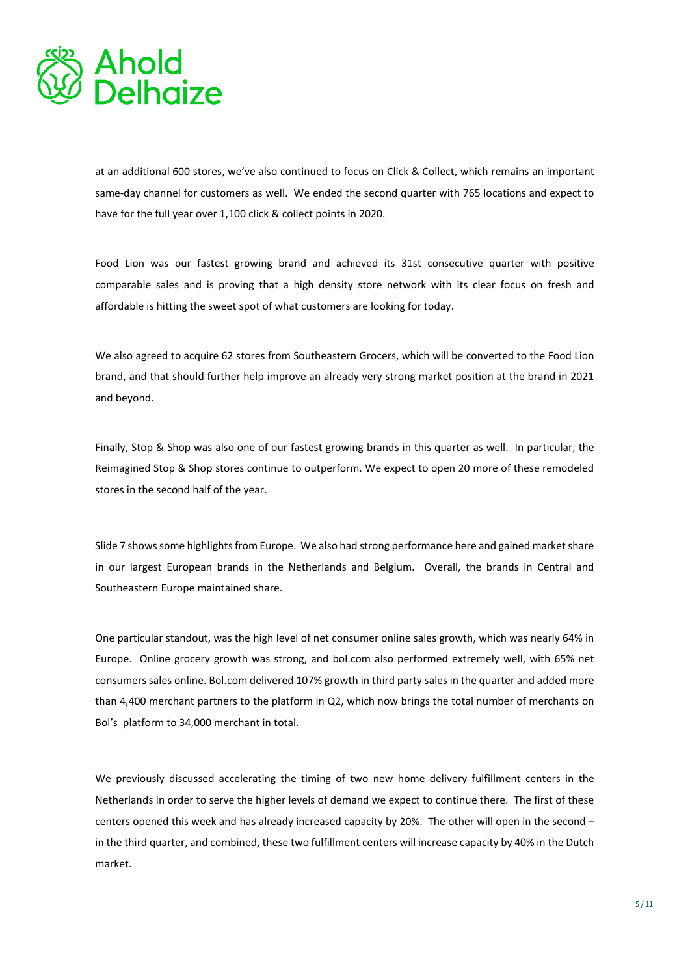

at an additional 600 stores, we've also continued to focus on Click & Collect, which remains an important same-day channel for customers as well. We ended the second quarter with 765 locations and expect to have for the full year over 1,100 click & collect points in 2020.

Food Lion was our fastest growing brand and achieved its 31st consecutive quarter with positive comparable sales and is proving that a high density store network with its clear focus on fresh and affordable is hitting the sweet spot of what customers are looking for today.

We also agreed to acquire 62 stores from Southeastern Grocers, which will be converted to the Food Lion brand, and that should further help improve an already very strong market position at the brand in 2021 and beyond.

Finally, Stop & Shop was also one of our fastest growing brands in this quarter as well. In particular, the Reimagined Stop & Shop stores continue to outperform. We expect to open 20 more of these remodeled stores in the second half of the year.

Slide 7 shows some highlights from Europe. We also had strong performance here and gained market share in our largest European brands in the Netherlands and Belgium. Overall, the brands in Central and Southeastern Europe maintained share.

One particular standout, was the high level of net consumer online sales growth, which was nearly 64% in Europe. Online grocery growth was strong, and bol.com also performed extremely well, with 65% net consumers sales online. Bol.com delivered 107% growth in third party sales in the quarter and added more than 4,400 merchant partners to the platform in Q2, which now brings the total number of merchants on Bol's platform to 34,000 merchant in total.

We previously discussed accelerating the timing of two new home delivery fulfillment centers in the Netherlands in order to serve the higher levels of demand we expect to continue there. The first of these centers opened this week and has already increased capacity by 20%. The other will open in the second – in the third quarter, and combined, these two fulfillment centers will increase capacity by 40% in the Dutch market.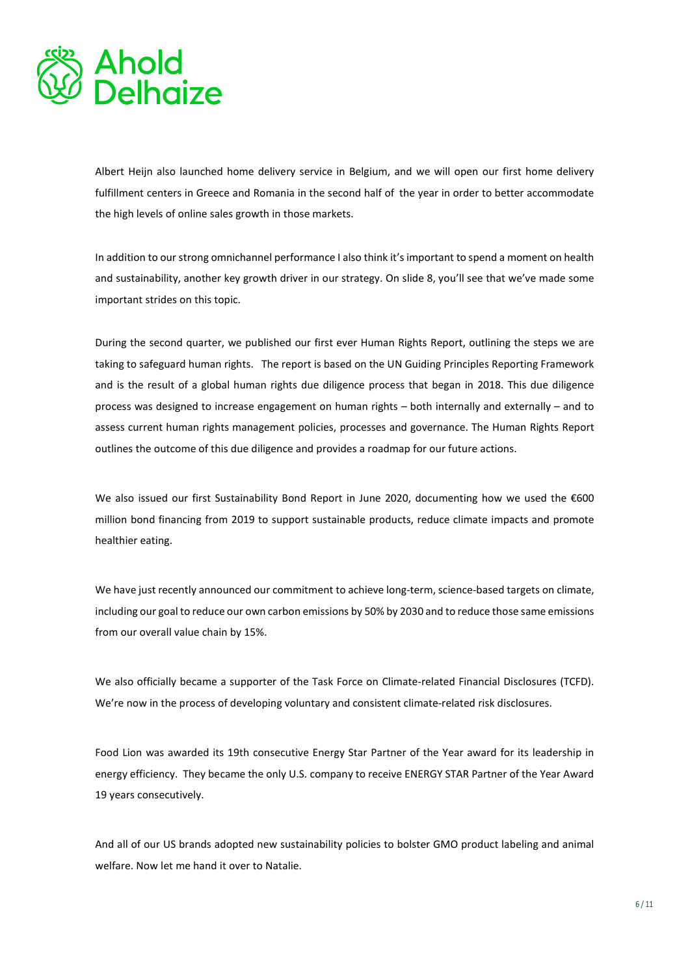

Albert Heijn also launched home delivery service in Belgium, and we will open our first home delivery fulfillment centers in Greece and Romania in the second half of the year in order to better accommodate the high levels of online sales growth in those markets.

In addition to our strong omnichannel performance I also think it's important to spend a moment on health and sustainability, another key growth driver in our strategy. On slide 8, you'll see that we've made some important strides on this topic.

During the second quarter, we published our first ever Human Rights Report, outlining the steps we are taking to safeguard human rights. The report is based on the UN Guiding Principles Reporting Framework and is the result of a global human rights due diligence process that began in 2018. This due diligence process was designed to increase engagement on human rights – both internally and externally – and to assess current human rights management policies, processes and governance. The Human Rights Report outlines the outcome of this due diligence and provides a roadmap for our future actions.

We also issued our first Sustainability Bond Report in June 2020, documenting how we used the €600 million bond financing from 2019 to support sustainable products, reduce climate impacts and promote healthier eating.

We have just recently announced our commitment to achieve long-term, science-based targets on climate, including our goal to reduce our own carbon emissions by 50% by 2030 and to reduce those same emissions from our overall value chain by 15%.

We also officially became a supporter of the Task Force on Climate-related Financial Disclosures (TCFD). We're now in the process of developing voluntary and consistent climate-related risk disclosures.

Food Lion was awarded its 19th consecutive Energy Star Partner of the Year award for its leadership in energy efficiency. They became the only U.S. company to receive ENERGY STAR Partner of the Year Award 19 years consecutively.

And all of our US brands adopted new sustainability policies to bolster GMO product labeling and animal welfare. Now let me hand it over to Natalie.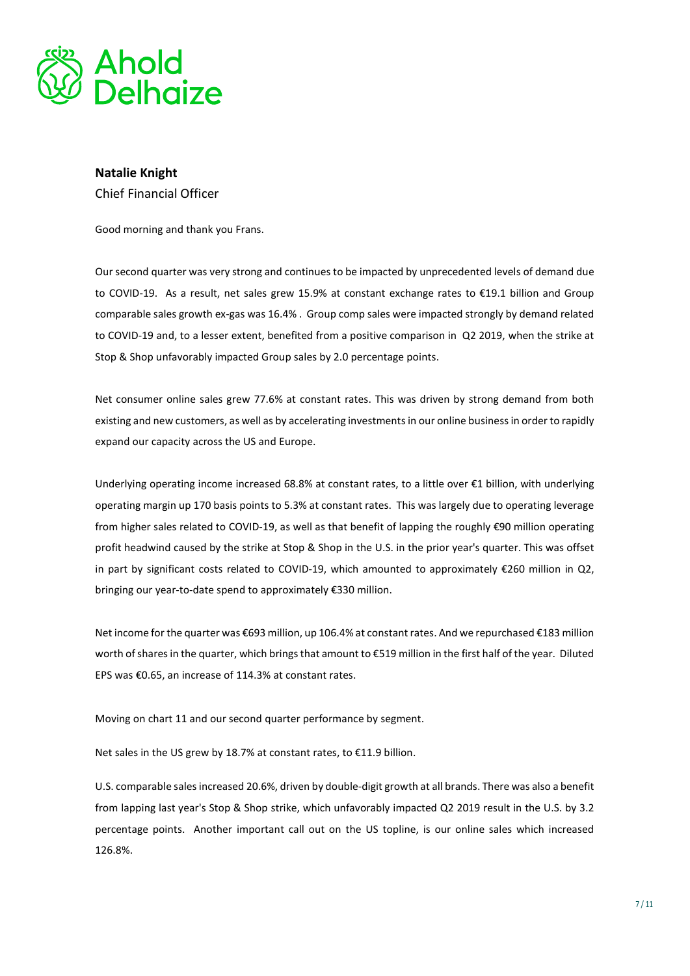

## Natalie Knight Chief Financial Officer

Good morning and thank you Frans.

Our second quarter was very strong and continues to be impacted by unprecedented levels of demand due to COVID-19. As a result, net sales grew 15.9% at constant exchange rates to €19.1 billion and Group comparable sales growth ex-gas was 16.4% . Group comp sales were impacted strongly by demand related to COVID-19 and, to a lesser extent, benefited from a positive comparison in Q2 2019, when the strike at Stop & Shop unfavorably impacted Group sales by 2.0 percentage points.

Net consumer online sales grew 77.6% at constant rates. This was driven by strong demand from both existing and new customers, as well as by accelerating investments in our online business in order to rapidly expand our capacity across the US and Europe.

Underlying operating income increased 68.8% at constant rates, to a little over €1 billion, with underlying operating margin up 170 basis points to 5.3% at constant rates. This was largely due to operating leverage from higher sales related to COVID-19, as well as that benefit of lapping the roughly €90 million operating profit headwind caused by the strike at Stop & Shop in the U.S. in the prior year's quarter. This was offset in part by significant costs related to COVID-19, which amounted to approximately €260 million in Q2, bringing our year-to-date spend to approximately €330 million.

Net income for the quarter was €693 million, up 106.4% at constant rates. And we repurchased €183 million worth of shares in the quarter, which brings that amount to €519 million in the first half of the year. Diluted EPS was €0.65, an increase of 114.3% at constant rates.

Moving on chart 11 and our second quarter performance by segment.

Net sales in the US grew by 18.7% at constant rates, to €11.9 billion.

U.S. comparable sales increased 20.6%, driven by double-digit growth at all brands. There was also a benefit from lapping last year's Stop & Shop strike, which unfavorably impacted Q2 2019 result in the U.S. by 3.2 percentage points. Another important call out on the US topline, is our online sales which increased 126.8%.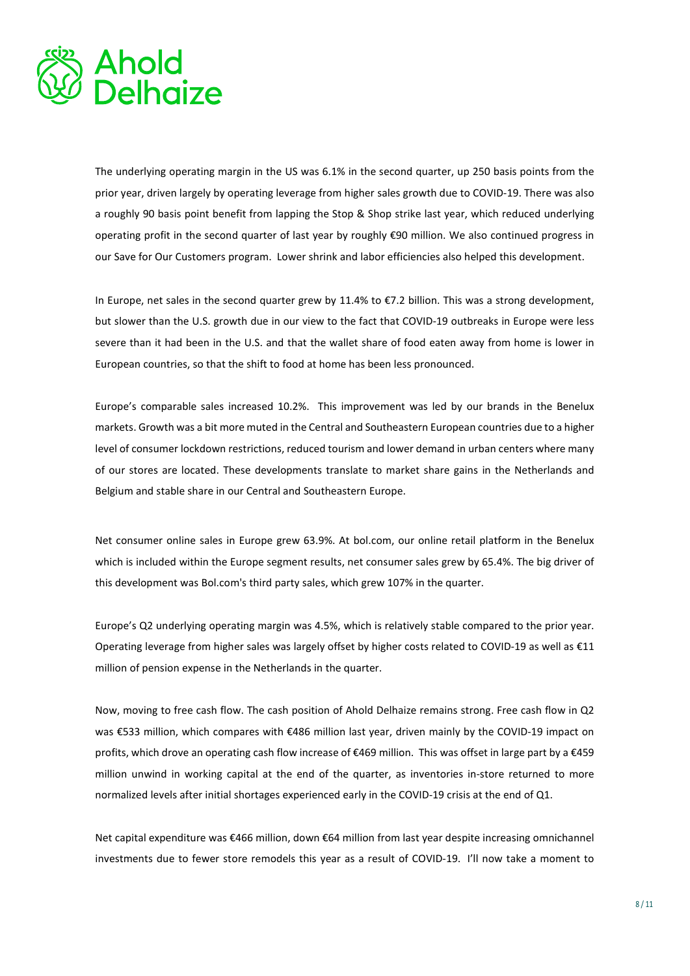

The underlying operating margin in the US was 6.1% in the second quarter, up 250 basis points from the prior year, driven largely by operating leverage from higher sales growth due to COVID-19. There was also a roughly 90 basis point benefit from lapping the Stop & Shop strike last year, which reduced underlying operating profit in the second quarter of last year by roughly €90 million. We also continued progress in our Save for Our Customers program. Lower shrink and labor efficiencies also helped this development.

In Europe, net sales in the second quarter grew by 11.4% to €7.2 billion. This was a strong development, but slower than the U.S. growth due in our view to the fact that COVID-19 outbreaks in Europe were less severe than it had been in the U.S. and that the wallet share of food eaten away from home is lower in European countries, so that the shift to food at home has been less pronounced.

Europe's comparable sales increased 10.2%. This improvement was led by our brands in the Benelux markets. Growth was a bit more muted in the Central and Southeastern European countries due to a higher level of consumer lockdown restrictions, reduced tourism and lower demand in urban centers where many of our stores are located. These developments translate to market share gains in the Netherlands and Belgium and stable share in our Central and Southeastern Europe.

Net consumer online sales in Europe grew 63.9%. At bol.com, our online retail platform in the Benelux which is included within the Europe segment results, net consumer sales grew by 65.4%. The big driver of this development was Bol.com's third party sales, which grew 107% in the quarter.

Europe's Q2 underlying operating margin was 4.5%, which is relatively stable compared to the prior year. Operating leverage from higher sales was largely offset by higher costs related to COVID-19 as well as €11 million of pension expense in the Netherlands in the quarter.

Now, moving to free cash flow. The cash position of Ahold Delhaize remains strong. Free cash flow in Q2 was €533 million, which compares with €486 million last year, driven mainly by the COVID-19 impact on profits, which drove an operating cash flow increase of €469 million. This was offset in large part by a €459 million unwind in working capital at the end of the quarter, as inventories in-store returned to more normalized levels after initial shortages experienced early in the COVID-19 crisis at the end of Q1.

Net capital expenditure was €466 million, down €64 million from last year despite increasing omnichannel investments due to fewer store remodels this year as a result of COVID-19. I'll now take a moment to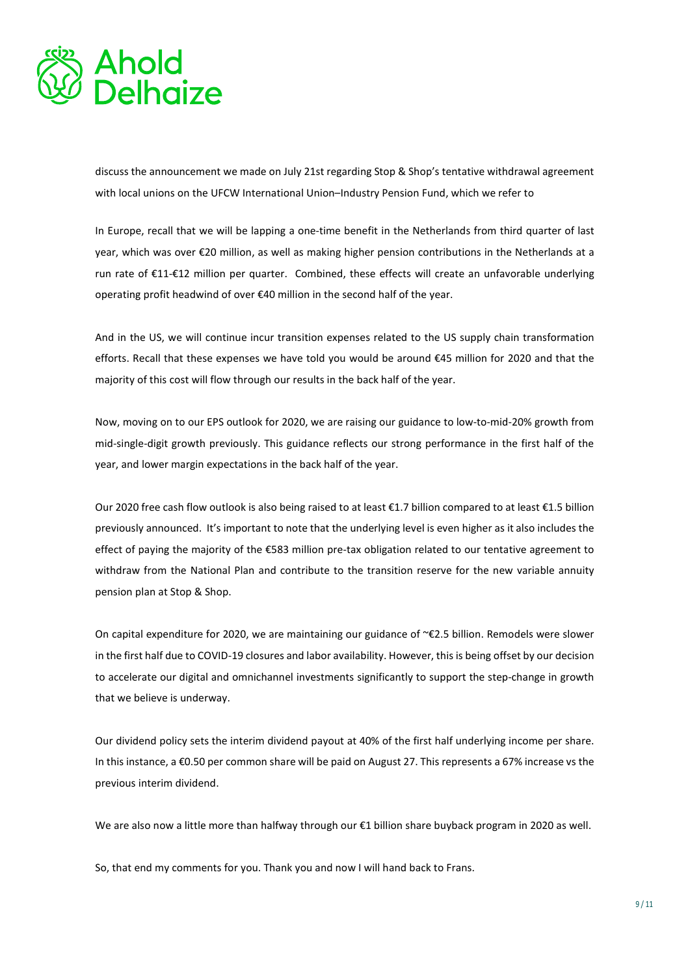

discuss the announcement we made on July 21st regarding Stop & Shop's tentative withdrawal agreement with local unions on the UFCW International Union–Industry Pension Fund, which we refer to

In Europe, recall that we will be lapping a one-time benefit in the Netherlands from third quarter of last year, which was over €20 million, as well as making higher pension contributions in the Netherlands at a run rate of €11-€12 million per quarter. Combined, these effects will create an unfavorable underlying operating profit headwind of over €40 million in the second half of the year.

And in the US, we will continue incur transition expenses related to the US supply chain transformation efforts. Recall that these expenses we have told you would be around €45 million for 2020 and that the majority of this cost will flow through our results in the back half of the year.

Now, moving on to our EPS outlook for 2020, we are raising our guidance to low-to-mid-20% growth from mid-single-digit growth previously. This guidance reflects our strong performance in the first half of the year, and lower margin expectations in the back half of the year.

Our 2020 free cash flow outlook is also being raised to at least €1.7 billion compared to at least €1.5 billion previously announced. It's important to note that the underlying level is even higher as it also includes the effect of paying the majority of the €583 million pre-tax obligation related to our tentative agreement to withdraw from the National Plan and contribute to the transition reserve for the new variable annuity pension plan at Stop & Shop.

On capital expenditure for 2020, we are maintaining our guidance of ~€2.5 billion. Remodels were slower in the first half due to COVID-19 closures and labor availability. However, this is being offset by our decision to accelerate our digital and omnichannel investments significantly to support the step-change in growth that we believe is underway.

Our dividend policy sets the interim dividend payout at 40% of the first half underlying income per share. In this instance, a €0.50 per common share will be paid on August 27. This represents a 67% increase vs the previous interim dividend.

We are also now a little more than halfway through our €1 billion share buyback program in 2020 as well.

So, that end my comments for you. Thank you and now I will hand back to Frans.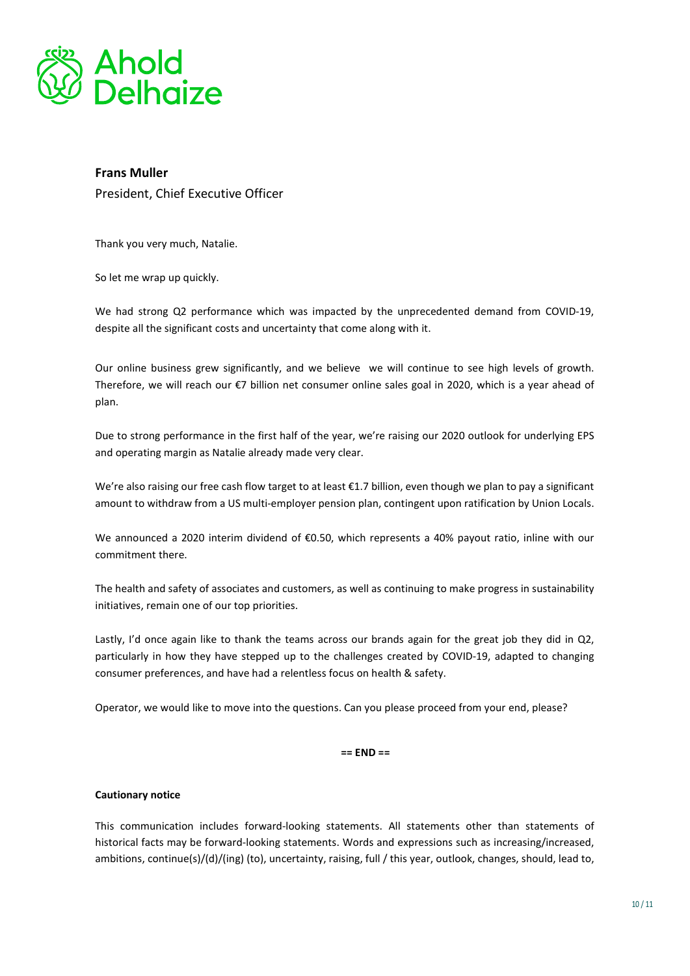

# Frans Muller President, Chief Executive Officer

Thank you very much, Natalie.

So let me wrap up quickly.

We had strong Q2 performance which was impacted by the unprecedented demand from COVID-19, despite all the significant costs and uncertainty that come along with it.

Our online business grew significantly, and we believe we will continue to see high levels of growth. Therefore, we will reach our €7 billion net consumer online sales goal in 2020, which is a year ahead of plan.

Due to strong performance in the first half of the year, we're raising our 2020 outlook for underlying EPS and operating margin as Natalie already made very clear.

We're also raising our free cash flow target to at least €1.7 billion, even though we plan to pay a significant amount to withdraw from a US multi-employer pension plan, contingent upon ratification by Union Locals.

We announced a 2020 interim dividend of €0.50, which represents a 40% payout ratio, inline with our commitment there.

The health and safety of associates and customers, as well as continuing to make progress in sustainability initiatives, remain one of our top priorities.

Lastly, I'd once again like to thank the teams across our brands again for the great job they did in Q2, particularly in how they have stepped up to the challenges created by COVID-19, adapted to changing consumer preferences, and have had a relentless focus on health & safety.

Operator, we would like to move into the questions. Can you please proceed from your end, please?

#### $==$   $END ==$

#### Cautionary notice

This communication includes forward-looking statements. All statements other than statements of historical facts may be forward-looking statements. Words and expressions such as increasing/increased, ambitions, continue(s)/(d)/(ing) (to), uncertainty, raising, full / this year, outlook, changes, should, lead to,